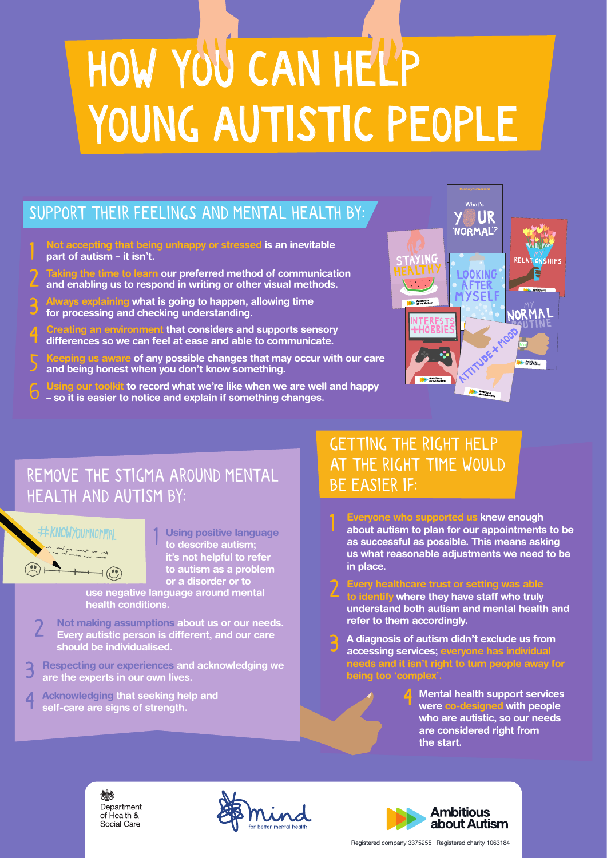#### SUPPORT THEIR FEELINGS AND MENTAL HEALTH BY:

- **Not accepting that being unhappy or stressed is an inevitable part of autism – it isn't.** 1
- **Taking the time to learn our preferred method of communication and enabling us to respond in writing or other visual methods.** 2
- **Always explaining what is going to happen, allowing time for processing and checking understanding.** 3
- **Creating an environment that considers and supports sensory differences so we can feel at ease and able to communicate.** 4
- **Keeping us aware of any possible changes that may occur with our care and being honest when you don't know something.** 5
- **Using our toolkit to record what we're like when we are well and happy**  6
- **so it is easier to notice and explain if something changes.**



#### REMOVE THE STIGMA AROUND MENTAL HEALTH AND AUTISM BY:

1



**Using positive language to describe autism; it's not helpful to refer to autism as a problem or a disorder or to**

**use negative language around mental health conditions.**

- **Not making assumptions about us or our needs. Every autistic person is different, and our care should be individualised.** 2
- **Respecting our experiences and acknowledging we are the experts in our own lives.** 3
- **Acknowledging that seeking help and self-care are signs of strength.** 4

#### GETTING THE RIGHT HELP AT THE RIGHT TIME WOULD BE EASIER IF:

1

- **Everyone who supported us knew enough about autism to plan for our appointments to be as successful as possible. This means asking us what reasonable adjustments we need to be in place.**
- **Every healthcare trust or setting was able to identify where they have staff who truly understand both autism and mental health and refer to them accordingly.** 2
- **A diagnosis of autism didn't exclude us from accessing services; everyone has individual needs and it isn't right to turn people away for being too 'complex'.** 3
	- **Mental health support services were co-designed with people who are autistic, so our needs are considered right from the start.** 4





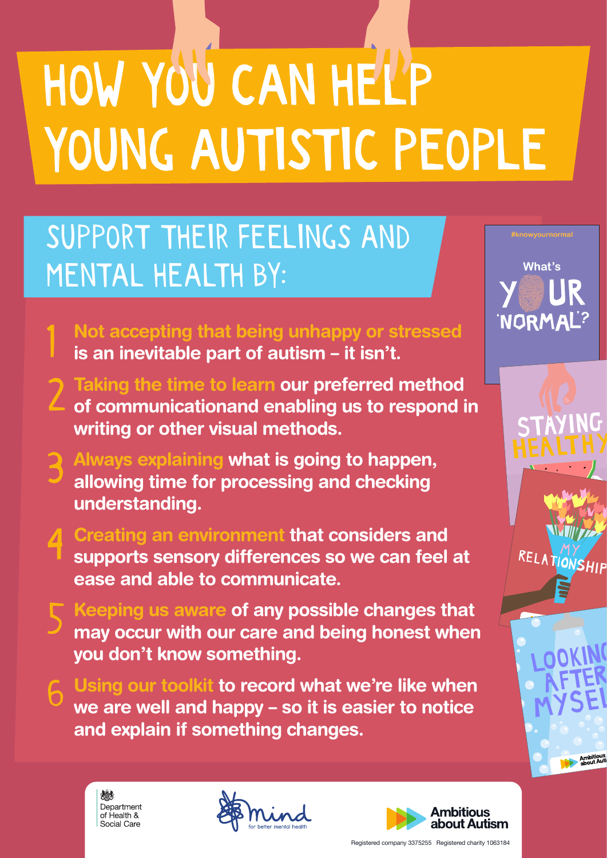### SUPPORT THEIR FEELINGS AND MENTAL HEALTH BY:

- **Not accepting that being unhappy or stressed is an inevitable part of autism – it isn't.**
- **Taking the time to learn our preferred method of communicationand enabling us to respond in writing or other visual methods.** 2
- **Always explaining what is going to happen, allowing time for processing and checking understanding.** 3
- **Creating an environment that considers and supports sensory differences so we can feel at ease and able to communicate.** 4
- **Keeping us aware of any possible changes that may occur with our care and being honest when you don't know something.** 5
	- **Using our toolkit to record what we're like when we are well and happy – so it is easier to notice and explain if something changes.**



1

6





What's

'NORMAL?

RELATIONSHIP

Ambitious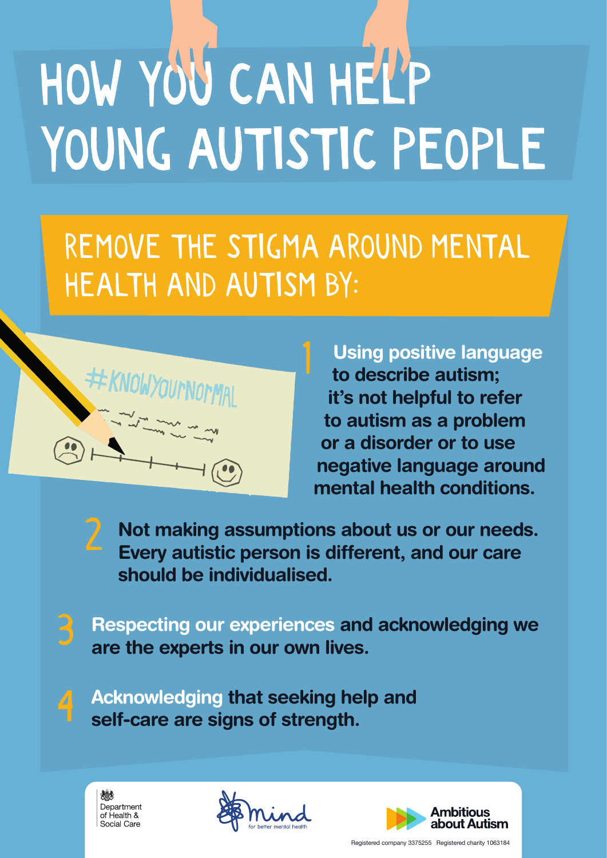REMOVE THE STIGMA AROUND MENTAL HEALTH AND AUTISM BY:



**Using positive language to describe autism; it's not helpful to refer to autism as a problem or a disorder or to use negative language around mental health conditions.**

**Not making assumptions about us or our needs. Every autistic person is different, and our care should be individualised.**

**Respecting our experiences and acknowledging we are the experts in our own lives.** 3

**Acknowledging that seeking help and self-care are signs of strength.**



2

 $\overline{4}$